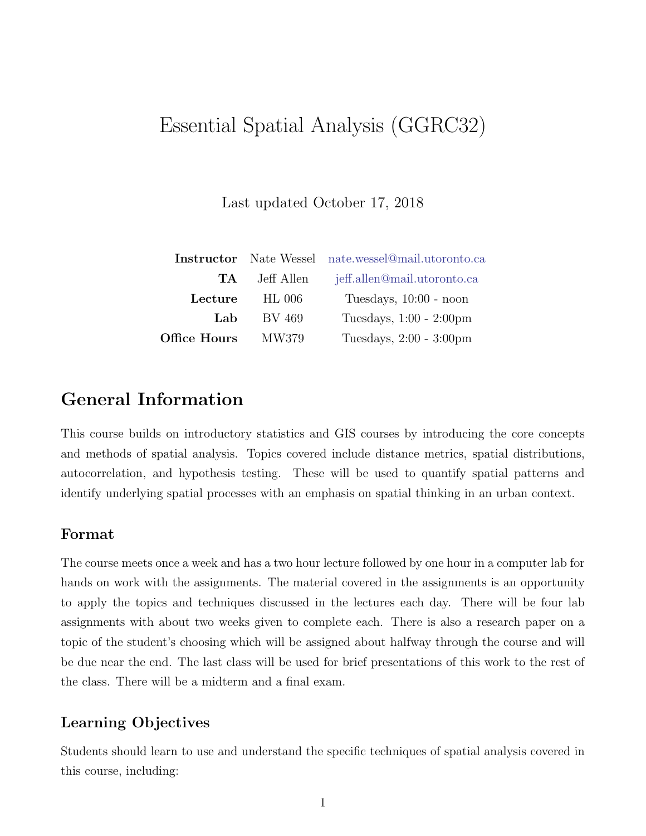# Essential Spatial Analysis (GGRC32)

Last updated October 17, 2018

|              |            | <b>Instructor</b> Nate Wessel nate.wessel@mail.utoronto.ca |  |
|--------------|------------|------------------------------------------------------------|--|
| TA.          | Jeff Allen | jeff.allen@mail.utoronto.ca                                |  |
| Lecture      | $HL$ 006   | Tuesdays, 10:00 - noon                                     |  |
| Lab          | BV 469     | Tuesdays, 1:00 - 2:00pm                                    |  |
| Office Hours | MW379      | Tuesdays, 2:00 - 3:00pm                                    |  |

## General Information

This course builds on introductory statistics and GIS courses by introducing the core concepts and methods of spatial analysis. Topics covered include distance metrics, spatial distributions, autocorrelation, and hypothesis testing. These will be used to quantify spatial patterns and identify underlying spatial processes with an emphasis on spatial thinking in an urban context.

#### Format

The course meets once a week and has a two hour lecture followed by one hour in a computer lab for hands on work with the assignments. The material covered in the assignments is an opportunity to apply the topics and techniques discussed in the lectures each day. There will be four lab assignments with about two weeks given to complete each. There is also a research paper on a topic of the student's choosing which will be assigned about halfway through the course and will be due near the end. The last class will be used for brief presentations of this work to the rest of the class. There will be a midterm and a final exam.

#### Learning Objectives

Students should learn to use and understand the specific techniques of spatial analysis covered in this course, including: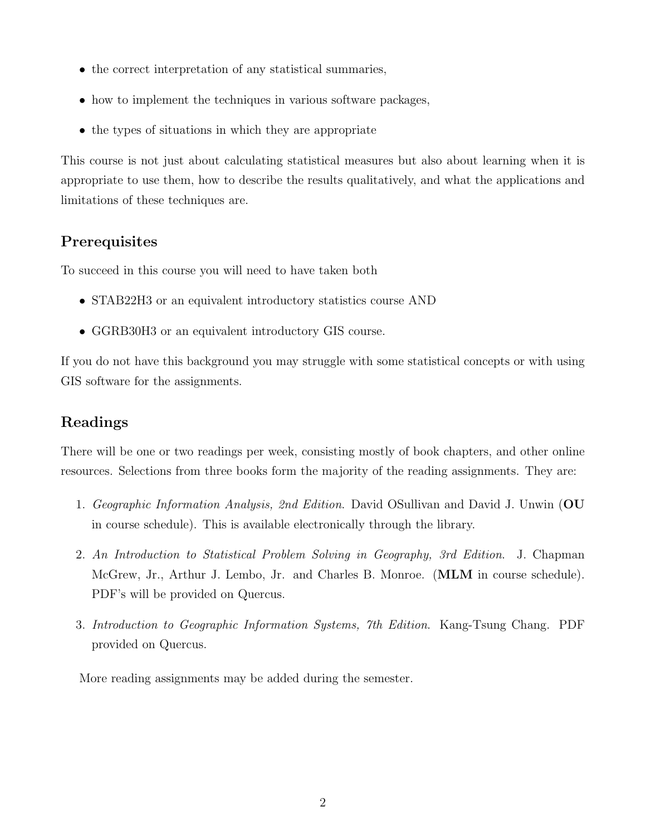- the correct interpretation of any statistical summaries,
- how to implement the techniques in various software packages,
- the types of situations in which they are appropriate

This course is not just about calculating statistical measures but also about learning when it is appropriate to use them, how to describe the results qualitatively, and what the applications and limitations of these techniques are.

## **Prerequisites**

To succeed in this course you will need to have taken both

- STAB22H3 or an equivalent introductory statistics course AND
- GGRB30H3 or an equivalent introductory GIS course.

If you do not have this background you may struggle with some statistical concepts or with using GIS software for the assignments.

## Readings

There will be one or two readings per week, consisting mostly of book chapters, and other online resources. Selections from three books form the majority of the reading assignments. They are:

- 1. Geographic Information Analysis, 2nd Edition. David OSullivan and David J. Unwin (OU in course schedule). This is available electronically through the library.
- 2. An Introduction to Statistical Problem Solving in Geography, 3rd Edition. J. Chapman McGrew, Jr., Arthur J. Lembo, Jr. and Charles B. Monroe. (MLM in course schedule). PDF's will be provided on Quercus.
- 3. Introduction to Geographic Information Systems, 7th Edition. Kang-Tsung Chang. PDF provided on Quercus.

More reading assignments may be added during the semester.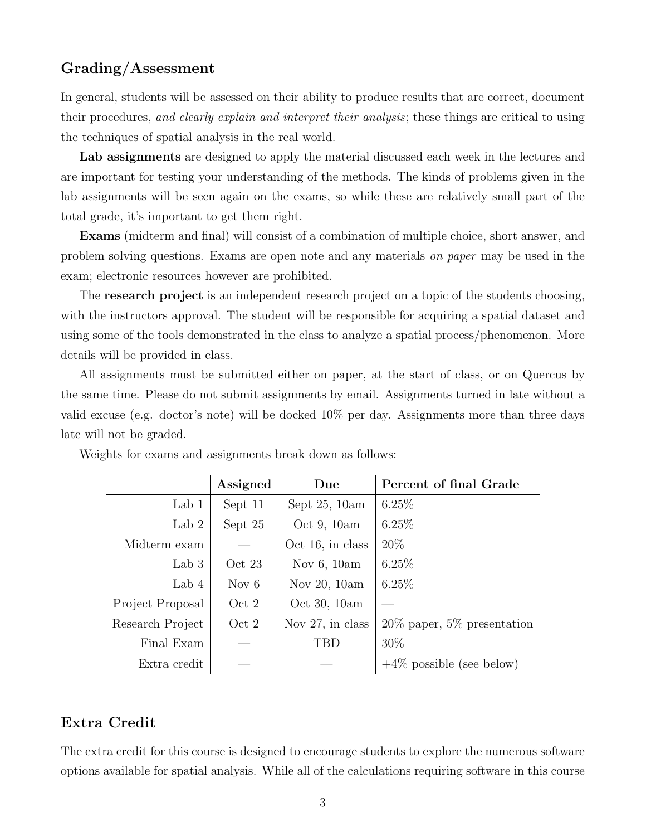### Grading/Assessment

In general, students will be assessed on their ability to produce results that are correct, document their procedures, and clearly explain and interpret their analysis; these things are critical to using the techniques of spatial analysis in the real world.

Lab assignments are designed to apply the material discussed each week in the lectures and are important for testing your understanding of the methods. The kinds of problems given in the lab assignments will be seen again on the exams, so while these are relatively small part of the total grade, it's important to get them right.

Exams (midterm and final) will consist of a combination of multiple choice, short answer, and problem solving questions. Exams are open note and any materials on paper may be used in the exam; electronic resources however are prohibited.

The **research project** is an independent research project on a topic of the students choosing, with the instructors approval. The student will be responsible for acquiring a spatial dataset and using some of the tools demonstrated in the class to analyze a spatial process/phenomenon. More details will be provided in class.

All assignments must be submitted either on paper, at the start of class, or on Quercus by the same time. Please do not submit assignments by email. Assignments turned in late without a valid excuse (e.g. doctor's note) will be docked 10% per day. Assignments more than three days late will not be graded.

|                  | Assigned | Due                 | Percent of final Grade         |
|------------------|----------|---------------------|--------------------------------|
| Lab $1$          | Sept 11  | Sept $25, 10am$     | $6.25\%$                       |
| Lab $2$          | Sept 25  | Oct $9, 10am$       | 6.25%                          |
| Midterm exam     |          | $Oct$ 16, in class  | $20\%$                         |
| Lab $3$          | Oct 23   | Nov $6, 10am$       | $6.25\%$                       |
| Lab $4$          | Nov $6$  | Nov 20, 10am        | $6.25\%$                       |
| Project Proposal | Oct 2    | Oct 30, 10am        |                                |
| Research Project | Oct 2    | Nov $27$ , in class | $20\%$ paper, 5\% presentation |
| Final Exam       |          | TBD                 | $30\%$                         |
| Extra credit     |          |                     | $+4\%$ possible (see below)    |

Weights for exams and assignments break down as follows:

#### Extra Credit

The extra credit for this course is designed to encourage students to explore the numerous software options available for spatial analysis. While all of the calculations requiring software in this course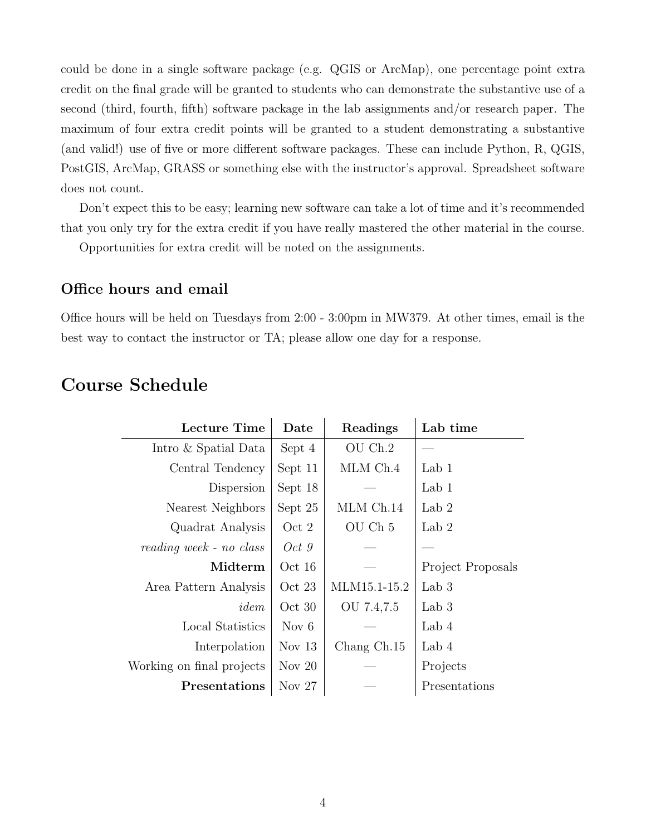could be done in a single software package (e.g. QGIS or ArcMap), one percentage point extra credit on the final grade will be granted to students who can demonstrate the substantive use of a second (third, fourth, fifth) software package in the lab assignments and/or research paper. The maximum of four extra credit points will be granted to a student demonstrating a substantive (and valid!) use of five or more different software packages. These can include Python, R, QGIS, PostGIS, ArcMap, GRASS or something else with the instructor's approval. Spreadsheet software does not count.

Don't expect this to be easy; learning new software can take a lot of time and it's recommended that you only try for the extra credit if you have really mastered the other material in the course.

Opportunities for extra credit will be noted on the assignments.

#### Office hours and email

Office hours will be held on Tuesdays from 2:00 - 3:00pm in MW379. At other times, email is the best way to contact the instructor or TA; please allow one day for a response.

## Course Schedule

| <b>Lecture Time</b>       | $\rm{\textbf{Date}}$ | Readings           | Lab time          |
|---------------------------|----------------------|--------------------|-------------------|
| Intro & Spatial Data      | Sept 4               | OU Ch.2            |                   |
| Central Tendency          | Sept 11              | MLM Ch.4           | Lab $1$           |
| Dispersion                | Sept 18              |                    | Lab $1$           |
| Nearest Neighbors         | Sept 25              | MLM Ch.14          | Lab 2             |
| Quadrat Analysis          | Oct 2                | OU Ch <sub>5</sub> | Lab 2             |
| reading week - no class   | Oct 9                |                    |                   |
| Midterm                   | Oct 16               |                    | Project Proposals |
| Area Pattern Analysis     | Oct 23               | MLM15.1-15.2       | Lab $3$           |
| idem                      | Oct 30               | OU 7.4,7.5         | Lab $3$           |
| Local Statistics          | Nov $6$              |                    | Lab $4$           |
| Interpolation             | Nov $13$             | Chang Ch.15        | Lab 4             |
| Working on final projects | Nov $20$             |                    | Projects          |
| <b>Presentations</b>      | Nov $27$             |                    | Presentations     |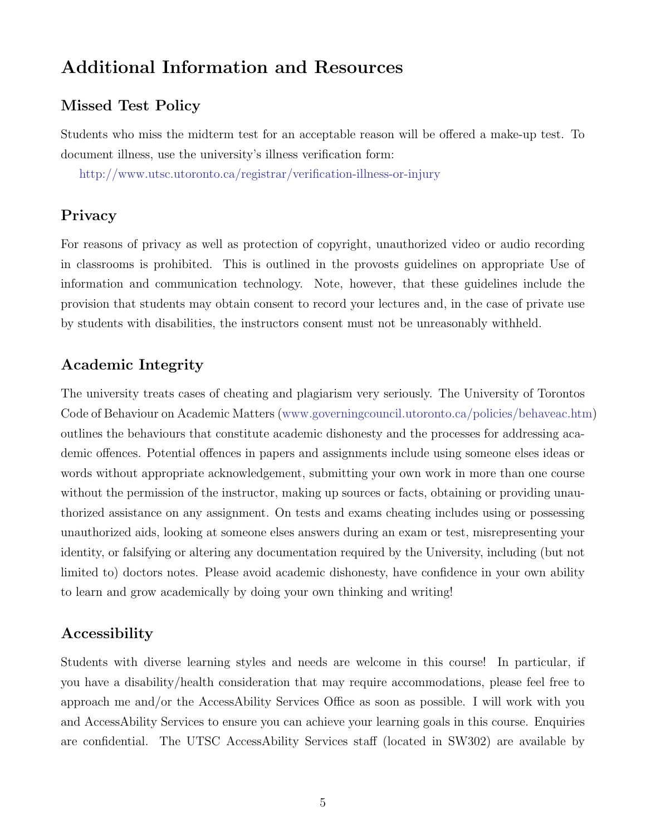## Additional Information and Resources

### Missed Test Policy

Students who miss the midterm test for an acceptable reason will be offered a make-up test. To document illness, use the university's illness verification form:

<http://www.utsc.utoronto.ca/registrar/verification-illness-or-injury>

#### Privacy

For reasons of privacy as well as protection of copyright, unauthorized video or audio recording in classrooms is prohibited. This is outlined in the provosts guidelines on appropriate Use of information and communication technology. Note, however, that these guidelines include the provision that students may obtain consent to record your lectures and, in the case of private use by students with disabilities, the instructors consent must not be unreasonably withheld.

### Academic Integrity

The university treats cases of cheating and plagiarism very seriously. The University of Torontos Code of Behaviour on Academic Matters [\(www.governingcouncil.utoronto.ca/policies/behaveac.htm\)](www.governingcouncil.utoronto.ca/policies/behaveac.htm) outlines the behaviours that constitute academic dishonesty and the processes for addressing academic offences. Potential offences in papers and assignments include using someone elses ideas or words without appropriate acknowledgement, submitting your own work in more than one course without the permission of the instructor, making up sources or facts, obtaining or providing unauthorized assistance on any assignment. On tests and exams cheating includes using or possessing unauthorized aids, looking at someone elses answers during an exam or test, misrepresenting your identity, or falsifying or altering any documentation required by the University, including (but not limited to) doctors notes. Please avoid academic dishonesty, have confidence in your own ability to learn and grow academically by doing your own thinking and writing!

#### Accessibility

Students with diverse learning styles and needs are welcome in this course! In particular, if you have a disability/health consideration that may require accommodations, please feel free to approach me and/or the AccessAbility Services Office as soon as possible. I will work with you and AccessAbility Services to ensure you can achieve your learning goals in this course. Enquiries are confidential. The UTSC AccessAbility Services staff (located in SW302) are available by